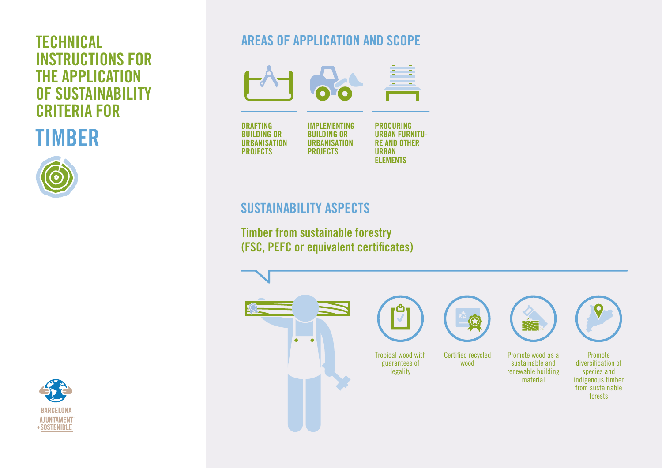# INSTRUCTIONS FOR THE APPLICATION OF SUSTAINABILITY CRITERIA FOR

TIMBER







PROJECTS

DRAFTING BUILDING OR **URBANISATION** PROJECTS

PROCURING URBAN FURNITU-RE AND OTHER URBAN ELEMENTS IMPLEMENTING BUILDING OR **URBANISATION** 

# SUSTAINABILITY ASPECTS

Timber from sustainable forestry (FSC, PEFC or equivalent certificates)



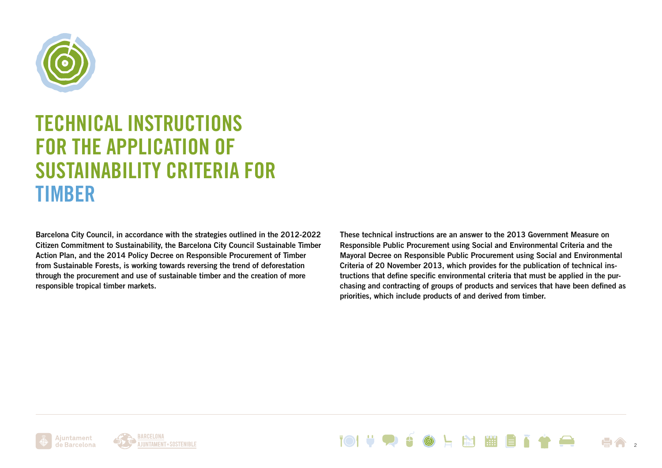

# TECHNICAL INSTRUCTIONS FOR THE APPLICATION OF SUSTAINABILITY CRITERIA FOR TIMBER

Barcelona City Council, in accordance with the strategies outlined in the 2012-2022 Citizen Commitment to Sustainability, the Barcelona City Council Sustainable Timber Action Plan, and the 2014 Policy Decree on Responsible Procurement of Timber from Sustainable Forests, is working towards reversing the trend of deforestation through the procurement and use of sustainable timber and the creation of more responsible tropical timber markets.

These technical instructions are an answer to the 2013 Government Measure on Responsible Public Procurement using Social and Environmental Criteria and the Mayoral Decree on Responsible Public Procurement using Social and Environmental Criteria of 20 November 2013, which provides for the publication of technical instructions that define specific environmental criteria that must be applied in the purchasing and contracting of groups of products and services that have been defined as priorities, which include products of and derived from timber.

2



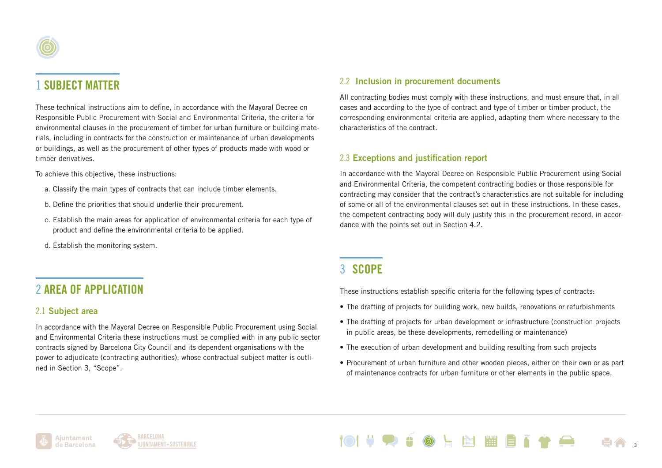

# 1 SUBJECT MATTER

These technical instructions aim to define, in accordance with the Mayoral Decree on Responsible Public Procurement with Social and Environmental Criteria, the criteria for environmental clauses in the procurement of timber for urban furniture or building materials, including in contracts for the construction or maintenance of urban developments or buildings, as well as the procurement of other types of products made with wood or timber derivatives.

To achieve this objective, these instructions:

- a. Classify the main types of contracts that can include timber elements.
- b. Define the priorities that should underlie their procurement.
- c. Establish the main areas for application of environmental criteria for each type of product and define the environmental criteria to be applied.
- d. Establish the monitoring system.

# 2 AREA OF APPLICATION

### 2.1 Subject area

In accordance with the Mayoral Decree on Responsible Public Procurement using Social and Environmental Criteria these instructions must be complied with in any public sector contracts signed by Barcelona City Council and its dependent organisations with the power to adjudicate (contracting authorities), whose contractual subject matter is outlined in Section 3, "Scope".

### 2.2 Inclusion in procurement documents

All contracting bodies must comply with these instructions, and must ensure that, in all cases and according to the type of contract and type of timber or timber product, the corresponding environmental criteria are applied, adapting them where necessary to the characteristics of the contract.

### 2.3 Exceptions and justification report

In accordance with the Mayoral Decree on Responsible Public Procurement using Social and Environmental Criteria, the competent contracting bodies or those responsible for contracting may consider that the contract's characteristics are not suitable for including of some or all of the environmental clauses set out in these instructions. In these cases, the competent contracting body will duly justify this in the procurement record, in accordance with the points set out in Section 4.2.

### 3 SCOPE

These instructions establish specific criteria for the following types of contracts:

- The drafting of projects for building work, new builds, renovations or refurbishments
- The drafting of projects for urban development or infrastructure (construction projects in public areas, be these developments, remodelling or maintenance)
- The execution of urban development and building resulting from such projects
- Procurement of urban furniture and other wooden pieces, either on their own or as part of maintenance contracts for urban furniture or other elements in the public space.

**EXT HOLD** 

3



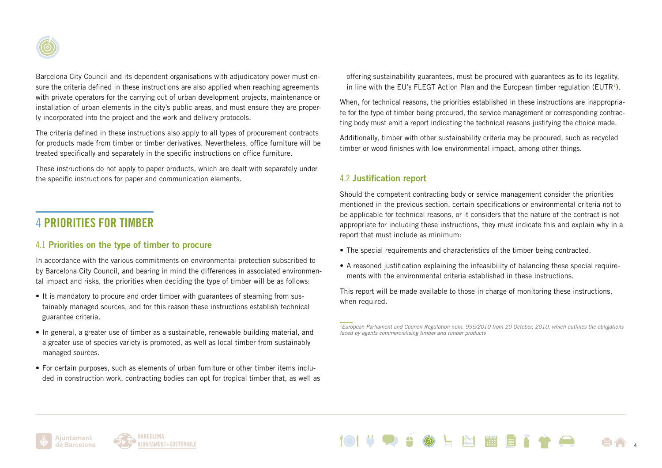

Barcelona City Council and its dependent organisations with adjudicatory power must ensure the criteria defined in these instructions are also applied when reaching agreements with private operators for the carrying out of urban development projects, maintenance or installation of urban elements in the city's public areas, and must ensure they are properly incorporated into the project and the work and delivery protocols.

The criteria defined in these instructions also apply to all types of procurement contracts for products made from timber or timber derivatives. Nevertheless, office furniture will be treated specifically and separately in the specific instructions on office furniture.

These instructions do not apply to paper products, which are dealt with separately under the specific instructions for paper and communication elements.

## 4 PRIORITIES FOR TIMBER

### 4.1 Priorities on the type of timber to procure

In accordance with the various commitments on environmental protection subscribed to by Barcelona City Council, and bearing in mind the differences in associated environmental impact and risks, the priorities when deciding the type of timber will be as follows:

- It is mandatory to procure and order timber with guarantees of steaming from sustainably managed sources, and for this reason these instructions establish technical guarantee criteria.
- In general, a greater use of timber as a sustainable, renewable building material, and a greater use of species variety is promoted, as well as local timber from sustainably managed sources.
- For certain purposes, such as elements of urban furniture or other timber items included in construction work, contracting bodies can opt for tropical timber that, as well as

offering sustainability guarantees, must be procured with guarantees as to its legality, in line with the EU's FLEGT Action Plan and the European timber regulation (EUTR<sup>1</sup>).

When, for technical reasons, the priorities established in these instructions are inappropriate for the type of timber being procured, the service management or corresponding contracting body must emit a report indicating the technical reasons justifying the choice made.

Additionally, timber with other sustainability criteria may be procured, such as recycled timber or wood finishes with low environmental impact, among other things.

### 4.2 Justification report

Should the competent contracting body or service management consider the priorities mentioned in the previous section, certain specifications or environmental criteria not to be applicable for technical reasons, or it considers that the nature of the contract is not appropriate for including these instructions, they must indicate this and explain why in a report that must include as minimum:

- The special requirements and characteristics of the timber being contracted.
- A reasoned justification explaining the infeasibility of balancing these special requirements with the environmental criteria established in these instructions.

This report will be made available to those in charge of monitoring these instructions, when required.





*<sup>1</sup>European Parliament and Council Regulation num. 995/2010 from 20 October, 2010, which outlines the obligations faced by agents commercialising timber and timber products*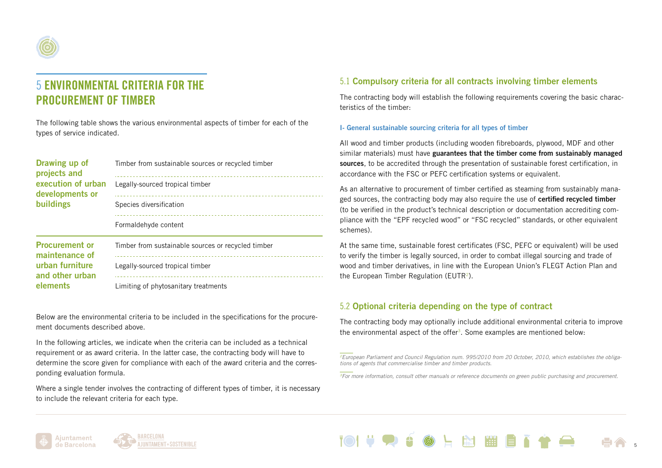

# 5 ENVIRONMENTAL CRITERIA FOR THE PROCUREMENT OF TIMBER

The following table shows the various environmental aspects of timber for each of the types of service indicated.

| Drawing up of<br>projects and<br>execution of urban<br>developments or | Timber from sustainable sources or recycled timber<br>Legally-sourced tropical timber |  |  |
|------------------------------------------------------------------------|---------------------------------------------------------------------------------------|--|--|
| <b>buildings</b>                                                       | Species diversification                                                               |  |  |
|                                                                        | Formaldehyde content                                                                  |  |  |
| <b>Procurement or</b><br>maintenance of                                | Timber from sustainable sources or recycled timber                                    |  |  |
| urban furniture<br>and other urban                                     | Legally-sourced tropical timber<br>______________________                             |  |  |

elements Limiting of phytosanitary treatments

Below are the environmental criteria to be included in the specifications for the procurement documents described above.

In the following articles, we indicate when the criteria can be included as a technical requirement or as award criteria. In the latter case, the contracting body will have to determine the score given for compliance with each of the award criteria and the corresponding evaluation formula.

Where a single tender involves the contracting of different types of timber, it is necessary to include the relevant criteria for each type.

### 5.1 Compulsory criteria for all contracts involving timber elements

The contracting body will establish the following requirements covering the basic characteristics of the timber:

#### I- General sustainable sourcing criteria for all types of timber

All wood and timber products (including wooden fibreboards, plywood, MDF and other similar materials) must have guarantees that the timber come from sustainably managed sources, to be accredited through the presentation of sustainable forest certification, in accordance with the FSC or PEFC certification systems or equivalent.

As an alternative to procurement of timber certified as steaming from sustainably managed sources, the contracting body may also require the use of certified recycled timber (to be verified in the product's technical description or documentation accrediting compliance with the "EPF recycled wood" or "FSC recycled" standards, or other equivalent schemes).

At the same time, sustainable forest certificates (FSC, PEFC or equivalent) will be used to verify the timber is legally sourced, in order to combat illegal sourcing and trade of wood and timber derivatives, in line with the European Union's FLEGT Action Plan and the European Timber Regulation (EUTR<sup>2</sup>).

### 5.2 Optional criteria depending on the type of contract

The contracting body may optionally include additional environmental criteria to improve the environmental aspect of the offer<sup>3</sup>. Some examples are mentioned below:





5

*<sup>2</sup>European Parliament and Council Regulation num. 995/2010 from 20 October, 2010, which establishes the obligations of agents that commercialise timber and timber products.*

*<sup>3</sup>For more information, consult other manuals or reference documents on green public purchasing and procurement.*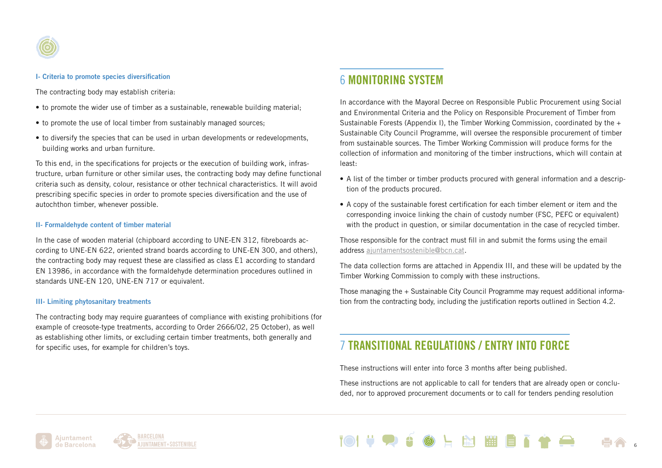

#### I- Criteria to promote species diversification

The contracting body may establish criteria:

- to promote the wider use of timber as a sustainable, renewable building material;
- to promote the use of local timber from sustainably managed sources;
- to diversify the species that can be used in urban developments or redevelopments, building works and urban furniture.

To this end, in the specifications for projects or the execution of building work, infrastructure, urban furniture or other similar uses, the contracting body may define functional criteria such as density, colour, resistance or other technical characteristics. It will avoid prescribing specific species in order to promote species diversification and the use of autochthon timber, whenever possible.

#### II- Formaldehyde content of timber material

In the case of wooden material (chipboard according to UNE-EN 312, fibreboards according to UNE-EN 622, oriented strand boards according to UNE-EN 300, and others), the contracting body may request these are classified as class E1 according to standard EN 13986, in accordance with the formaldehyde determination procedures outlined in standards UNE-EN 120, UNE-EN 717 or equivalent.

#### III- Limiting phytosanitary treatments

The contracting body may require guarantees of compliance with existing prohibitions (for example of creosote-type treatments, according to Order 2666/02, 25 October), as well as establishing other limits, or excluding certain timber treatments, both generally and for specific uses, for example for children's toys.

## 6 MONITORING SYSTEM

In accordance with the Mayoral Decree on Responsible Public Procurement using Social and Environmental Criteria and the Policy on Responsible Procurement of Timber from Sustainable Forests (Appendix I), the Timber Working Commission, coordinated by the  $+$ Sustainable City Council Programme, will oversee the responsible procurement of timber from sustainable sources. The Timber Working Commission will produce forms for the collection of information and monitoring of the timber instructions, which will contain at least:

- A list of the timber or timber products procured with general information and a description of the products procured.
- A copy of the sustainable forest certification for each timber element or item and the corresponding invoice linking the chain of custody number (FSC, PEFC or equivalent) with the product in question, or similar documentation in the case of recycled timber.

Those responsible for the contract must fill in and submit the forms using the email address [ajuntamentsostenible@bcn.cat.](mailto:ajuntamentsostenible%40bcn.cat?subject=)

The data collection forms are attached in Appendix III, and these will be updated by the Timber Working Commission to comply with these instructions.

Those managing the + Sustainable City Council Programme may request additional information from the contracting body, including the justification reports outlined in Section 4.2.

# 7 TRANSITIONAL REGULATIONS / ENTRY INTO FORCE

These instructions will enter into force 3 months after being published.

These instructions are not applicable to call for tenders that are already open or concluded, nor to approved procurement documents or to call for tenders pending resolution





**Ed 1999** 6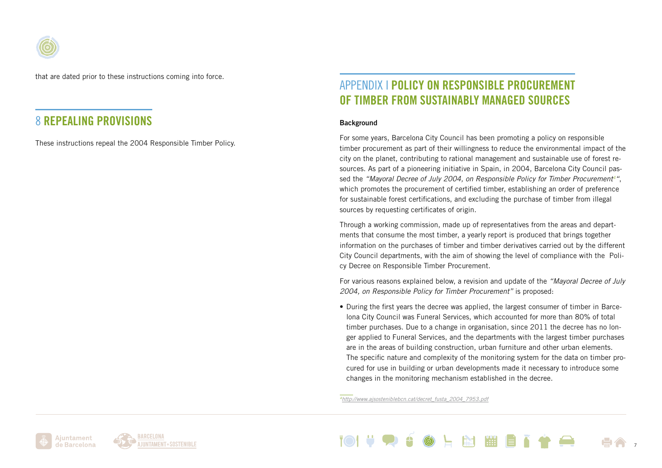

that are dated prior to these instructions coming into force.

### 8 REPEALING PROVISIONS

These instructions repeal the 2004 Responsible Timber Policy.

# APPENDIX I POLICY ON RESPONSIBLE PROCUREMENT OF TIMBER FROM SUSTAINABLY MANAGED SOURCES

#### **Background**

For some years, Barcelona City Council has been promoting a policy on responsible timber procurement as part of their willingness to reduce the environmental impact of the city on the planet, contributing to rational management and sustainable use of forest resources. As part of a pioneering initiative in Spain, in 2004, Barcelona City Council passed the *"Mayoral Decree of July 2004, on Responsible Policy for Timber Procurement4"*, which promotes the procurement of certified timber, establishing an order of preference for sustainable forest certifications, and excluding the purchase of timber from illegal sources by requesting certificates of origin.

Through a working commission, made up of representatives from the areas and departments that consume the most timber, a yearly report is produced that brings together information on the purchases of timber and timber derivatives carried out by the different City Council departments, with the aim of showing the level of compliance with the Policy Decree on Responsible Timber Procurement.

For various reasons explained below, a revision and update of the *"Mayoral Decree of July 2004, on Responsible Policy for Timber Procurement"* is proposed:

• During the first years the decree was applied, the largest consumer of timber in Barcelona City Council was Funeral Services, which accounted for more than 80% of total timber purchases. Due to a change in organisation, since 2011 the decree has no longer applied to Funeral Services, and the departments with the largest timber purchases are in the areas of building construction, urban furniture and other urban elements. The specific nature and complexity of the monitoring system for the data on timber procured for use in building or urban developments made it necessary to introduce some changes in the monitoring mechanism established in the decree.

*4[http://www.ajsosteniblebcn.cat/decret\\_fusta\\_2004\\_7953.pdf](http://www.ajsosteniblebcn.cat/decret_fusta_2004_7953.pdf)*





**Ed Wil** 7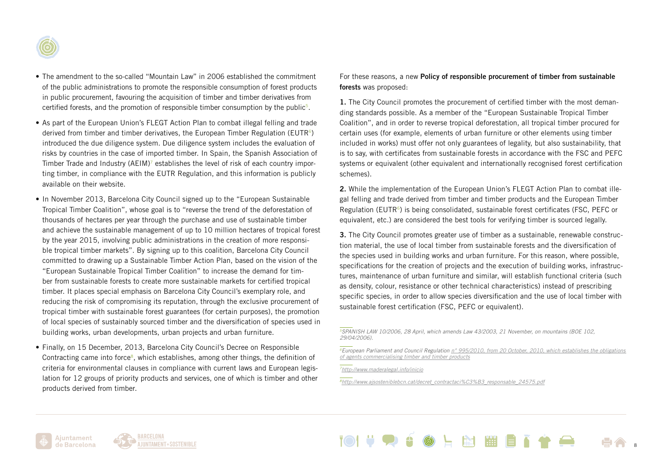

• The amendment to the so-called "Mountain Law" in 2006 established the commitment of the public administrations to promote the responsible consumption of forest products in public procurement, favouring the acquisition of timber and timber derivatives from certified forests, and the promotion of responsible timber consumption by the public5.

- As part of the European Union's FLEGT Action Plan to combat illegal felling and trade derived from timber and timber derivatives, the European Timber Regulation (EUTR $6$ ) introduced the due diligence system. Due diligence system includes the evaluation of risks by countries in the case of imported timber. In Spain, the Spanish Association of Timber Trade and Industry  $(AEIM)^7$  establishes the level of risk of each country importing timber, in compliance with the EUTR Regulation, and this information is publicly available on their website.
- In November 2013, Barcelona City Council signed up to the "European Sustainable Tropical Timber Coalition", whose goal is to "reverse the trend of the deforestation of thousands of hectares per year through the purchase and use of sustainable timber and achieve the sustainable management of up to 10 million hectares of tropical forest by the year 2015, involving public administrations in the creation of more responsible tropical timber markets". By signing up to this coalition, Barcelona City Council committed to drawing up a Sustainable Timber Action Plan, based on the vision of the "European Sustainable Tropical Timber Coalition" to increase the demand for timber from sustainable forests to create more sustainable markets for certified tropical timber. It places special emphasis on Barcelona City Council's exemplary role, and reducing the risk of compromising its reputation, through the exclusive procurement of tropical timber with sustainable forest guarantees (for certain purposes), the promotion of local species of sustainably sourced timber and the diversification of species used in building works, urban developments, urban projects and urban furniture.
- Finally, on 15 December, 2013, Barcelona City Council's Decree on Responsible Contracting came into force<sup>8</sup>, which establishes, among other things, the definition of criteria for environmental clauses in compliance with current laws and European legislation for 12 groups of priority products and services, one of which is timber and other products derived from timber.

For these reasons, a new Policy of responsible procurement of timber from sustainable forests was proposed:

1. The City Council promotes the procurement of certified timber with the most demanding standards possible. As a member of the "European Sustainable Tropical Timber Coalition", and in order to reverse tropical deforestation, all tropical timber procured for certain uses (for example, elements of urban furniture or other elements using timber included in works) must offer not only guarantees of legality, but also sustainability, that is to say, with certificates from sustainable forests in accordance with the FSC and PEFC systems or equivalent (other equivalent and internationally recognised forest certification schemes).

2. While the implementation of the European Union's FLEGT Action Plan to combat illegal felling and trade derived from timber and timber products and the European Timber Regulation (EUTR $6$ ) is being consolidated, sustainable forest certificates (FSC, PEFC or equivalent, etc.) are considered the best tools for verifying timber is sourced legally.

3. The City Council promotes greater use of timber as a sustainable, renewable construction material, the use of local timber from sustainable forests and the diversification of the species used in building works and urban furniture. For this reason, where possible, specifications for the creation of projects and the execution of building works, infrastructures, maintenance of urban furniture and similar, will establish functional criteria (such as density, colour, resistance or other technical characteristics) instead of prescribing specific species, in order to allow species diversification and the use of local timber with sustainable forest certification (FSC, PEFC or equivalent).

*5SPANISH LAW 10/2006, 28 April, which amends Law 43/2003, 21 November, on mountains (BOE 102, 29/04/2006).*

*6European Parliament and Council Regulation [n° 995/2010, from 20 October, 2010, which establishes the obligations](http://eur-lex.europa.eu/legal-content/ES/TXT/?uri=uriserv:OJ.L_.2010.295.01.0023.01.SPA)  [of agents commercialising timber and timber products](http://eur-lex.europa.eu/legal-content/ES/TXT/?uri=uriserv:OJ.L_.2010.295.01.0023.01.SPA)*

N HIEN

8

*[7http://www.maderalegal.info/inicio](http://www.maderalegal.info/inicio)*

*[8http://www.ajsosteniblebcn.cat/decret\\_contractaci%C3%B3\\_responsable\\_24575.pdf](http://www.ajsosteniblebcn.cat/decret_contractaci%C3%B3_responsable_24575.pdf)*



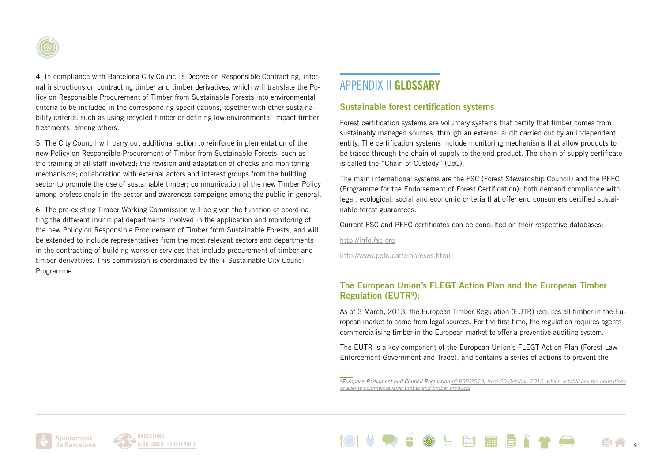

4. In compliance with Barcelona City Council's Decree on Responsible Contracting, internal instructions on contracting timber and timber derivatives, which will translate the Policy on Responsible Procurement of Timber from Sustainable Forests into environmental criteria to be included in the corresponding specifications, together with other sustainability criteria, such as using recycled timber or defining low environmental impact timber treatments, among others.

5. The City Council will carry out additional action to reinforce implementation of the new Policy on Responsible Procurement of Timber from Sustainable Forests, such as the training of all staff involved; the revision and adaptation of checks and monitoring mechanisms; collaboration with external actors and interest groups from the building sector to promote the use of sustainable timber; communication of the new Timber Policy among professionals in the sector and awareness campaigns among the public in general.

6. The pre-existing Timber Working Commission will be given the function of coordinating the different municipal departments involved in the application and monitoring of the new Policy on Responsible Procurement of Timber from Sustainable Forests, and will be extended to include representatives from the most relevant sectors and departments in the contracting of building works or services that include procurement of timber and timber derivatives. This commission is coordinated by the + Sustainable City Council Programme.

# APPENDIX II GLOSSARY

### Sustainable forest certification systems

Forest certification systems are voluntary systems that certify that timber comes from sustainably managed sources, through an external audit carried out by an independent entity. The certification systems include monitoring mechanisms that allow products to be traced through the chain of supply to the end product. The chain of supply certificate is called the "Chain of Custody" (CoC).

The main international systems are the FSC (Forest Stewardship Council) and the PEFC (Programme for the Endorsement of Forest Certification); both demand compliance with legal, ecological, social and economic criteria that offer end consumers certified sustainable forest guarantees.

Current FSC and PEFC certificates can be consulted on their respective databases:

<http://info.fsc.org>

<http://www.pefc.cat/empreses.html>

### The European Union's FLEGT Action Plan and the European Timber Regulation (EUTR<sup>9</sup>):

As of 3 March, 2013, the European Timber Regulation (EUTR) requires all timber in the European market to come from legal sources. For the first time, the regulation requires agents commercialising timber in the European market to offer a preventive auditing system.

The EUTR is a key component of the European Union's FLEGT Action Plan (Forest Law Enforcement Government and Trade), and contains a series of actions to prevent the

*9European Parliament and Council Regulation [n° 995/2010, from 20 October, 2010, which establishes the obligations](http://eur-lex.europa.eu/legal-content/ES/TXT/?uri=uriserv:OJ.L_.2010.295.01.0023.01.SPA)  [of agents commercialising timber and timber products](http://eur-lex.europa.eu/legal-content/ES/TXT/?uri=uriserv:OJ.L_.2010.295.01.0023.01.SPA)*





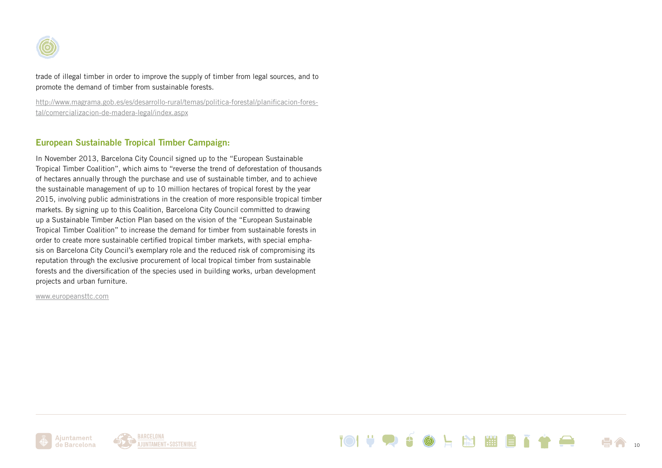

trade of illegal timber in order to improve the supply of timber from legal sources, and to promote the demand of timber from sustainable forests.

http://www.magrama.gob.es/es/desarrollo-rural/temas/politica-forestal/planificacion-forestal/comercializacion-de-madera-legal/index.aspx

### European Sustainable Tropical Timber Campaign:

In November 2013, Barcelona City Council signed up to the "European Sustainable Tropical Timber Coalition", which aims to "reverse the trend of deforestation of thousands of hectares annually through the purchase and use of sustainable timber, and to achieve the sustainable management of up to 10 million hectares of tropical forest by the year 2015, involving public administrations in the creation of more responsible tropical timber markets. By signing up to this Coalition, Barcelona City Council committed to drawing up a Sustainable Timber Action Plan based on the vision of the "European Sustainable Tropical Timber Coalition" to increase the demand for timber from sustainable forests in order to create more sustainable certified tropical timber markets, with special emphasis on Barcelona City Council's exemplary role and the reduced risk of compromising its reputation through the exclusive procurement of local tropical timber from sustainable forests and the diversification of the species used in building works, urban development projects and urban furniture.

[www.europeansttc.com](http://www.europeansttc.com)





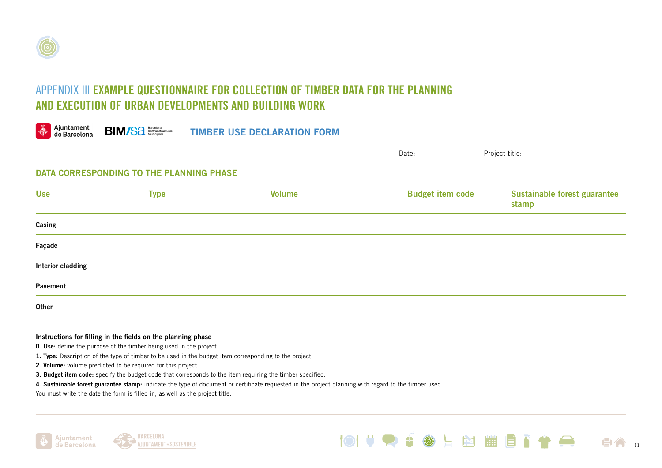

# APPENDIX III EXAMPLE QUESTIONNAIRE FOR COLLECTION OF TIMBER DATA FOR THE PLANNING AND EXECUTION OF URBAN DEVELOPMENTS AND BUILDING WORK

| Ajuntament<br>d<br>de Barcelona |  |
|---------------------------------|--|
|---------------------------------|--|

**BIM/Sa d'Infraestructures** TIMBER USE DECLARATION FORM

|                                          |             |               | Date:                   | _Project title:                       |  |  |  |
|------------------------------------------|-------------|---------------|-------------------------|---------------------------------------|--|--|--|
| DATA CORRESPONDING TO THE PLANNING PHASE |             |               |                         |                                       |  |  |  |
| <b>Use</b>                               | <b>Type</b> | <b>Volume</b> | <b>Budget item code</b> | Sustainable forest guarantee<br>stamp |  |  |  |
| Casing                                   |             |               |                         |                                       |  |  |  |
| Façade                                   |             |               |                         |                                       |  |  |  |
| <b>Interior cladding</b>                 |             |               |                         |                                       |  |  |  |
| Pavement                                 |             |               |                         |                                       |  |  |  |
| Other                                    |             |               |                         |                                       |  |  |  |

#### Instructions for filling in the fields on the planning phase

0. Use: define the purpose of the timber being used in the project.

1. Type: Description of the type of timber to be used in the budget item corresponding to the project.

2. Volume: volume predicted to be required for this project.

3. Budget item code: specify the budget code that corresponds to the item requiring the timber specified.

4. Sustainable forest guarantee stamp: indicate the type of document or certificate requested in the project planning with regard to the timber used.

You must write the date the form is filled in, as well as the project title.